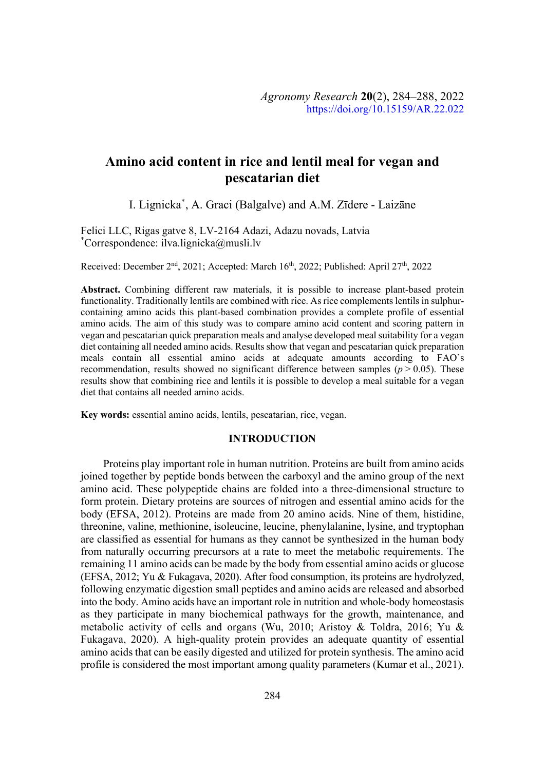# **Amino acid content in rice and lentil meal for vegan and pescatarian diet**

I. Lignicka\*, A. Graci (Balgalve) and A.M. Zīdere - Laizāne

Felici LLC, Rigas gatve 8, LV-2164 Adazi, Adazu novads, Latvia \* Correspondence: ilva.lignicka@musli.lv

Received: December 2<sup>nd</sup>, 2021; Accepted: March 16<sup>th</sup>, 2022; Published: April 27<sup>th</sup>, 2022

**Abstract.** Combining different raw materials, it is possible to increase plant-based protein functionality. Traditionally lentils are combined with rice. As rice complements lentils in sulphurcontaining amino acids this plant-based combination provides a complete profile of essential amino acids. The aim of this study was to compare amino acid content and scoring pattern in vegan and pescatarian quick preparation meals and analyse developed meal suitability for a vegan diet containing all needed amino acids. Results show that vegan and pescatarian quick preparation meals contain all essential amino acids at adequate amounts according to FAO`s recommendation, results showed no significant difference between samples ( $p > 0.05$ ). These results show that combining rice and lentils it is possible to develop a meal suitable for a vegan diet that contains all needed amino acids.

**Key words:** essential amino acids, lentils, pescatarian, rice, vegan.

#### **INTRODUCTION**

Proteins play important role in human nutrition. Proteins are built from amino acids joined together by peptide bonds between the carboxyl and the amino group of the next amino acid. These polypeptide chains are folded into a three-dimensional structure to form protein. Dietary proteins are sources of nitrogen and essential amino acids for the body (EFSA, 2012). Proteins are made from 20 amino acids. Nine of them, histidine, threonine, valine, methionine, isoleucine, leucine, phenylalanine, lysine, and tryptophan are classified as essential for humans as they cannot be synthesized in the human body from naturally occurring precursors at a rate to meet the metabolic requirements. The remaining 11 amino acids can be made by the body from essential amino acids or glucose (EFSA, 2012; Yu & Fukagava, 2020). After food consumption, its proteins are hydrolyzed, following enzymatic digestion small peptides and amino acids are released and absorbed into the body. Amino acids have an important role in nutrition and whole-body homeostasis as they participate in many biochemical pathways for the growth, maintenance, and metabolic activity of cells and organs (Wu, 2010; Aristoy & Toldra, 2016; Yu & Fukagava, 2020). A high-quality protein provides an adequate quantity of essential amino acids that can be easily digested and utilized for protein synthesis. The amino acid profile is considered the most important among quality parameters (Kumar et al., 2021).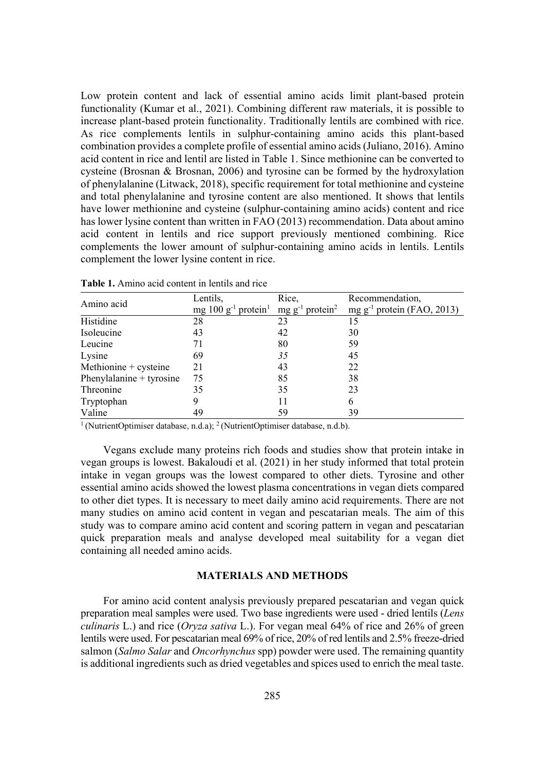Low protein content and lack of essential amino acids limit plant-based protein functionality (Kumar et al., 2021). Combining different raw materials, it is possible to increase plant-based protein functionality. Traditionally lentils are combined with rice. As rice complements lentils in sulphur-containing amino acids this plant-based combination provides a complete profile of essential amino acids (Juliano, 2016). Amino acid content in rice and lentil are listed in Table 1. Since methionine can be converted to cysteine (Brosnan & Brosnan, 2006) and tyrosine can be formed by the hydroxylation of phenylalanine (Litwack, 2018), specific requirement for total methionine and cysteine and total phenylalanine and tyrosine content are also mentioned. It shows that lentils have lower methionine and cysteine (sulphur-containing amino acids) content and rice has lower lysine content than written in FAO (2013) recommendation. Data about amino acid content in lentils and rice support previously mentioned combining. Rice complements the lower amount of sulphur-containing amino acids in lentils. Lentils complement the lower lysine content in rice.

| Amino acid                 | Lentils,                                                                     | Rice, | Recommendation,                 |
|----------------------------|------------------------------------------------------------------------------|-------|---------------------------------|
|                            | mg $100 g^{-1}$ protein <sup>1</sup> mg g <sup>-1</sup> protein <sup>2</sup> |       | mg $g^{-1}$ protein (FAO, 2013) |
| Histidine                  | 28                                                                           | 23    |                                 |
| Isoleucine                 | 43                                                                           | 42    | 30                              |
| Leucine                    | 71                                                                           | 80    | 59                              |
| Lysine                     | 69                                                                           | 35    | 45                              |
| Methionine + cysteine      | 21                                                                           | 43    | 22                              |
| Phenylalanine $+$ tyrosine | 75                                                                           | 85    | 38                              |
| Threonine                  | 35                                                                           | 35    | 23                              |
| Tryptophan                 |                                                                              |       | 6                               |
| Valine                     | 49                                                                           | 59    | 39                              |

**Table 1.** Amino acid content in lentils and rice

<sup>1</sup> (NutrientOptimiser database, n.d.a); <sup>2</sup> (NutrientOptimiser database, n.d.b).

Vegans exclude many proteins rich foods and studies show that protein intake in vegan groups is lowest. Bakaloudi et al. (2021) in her study informed that total protein intake in vegan groups was the lowest compared to other diets. Tyrosine and other essential amino acids showed the lowest plasma concentrations in vegan diets compared to other diet types. It is necessary to meet daily amino acid requirements. There are not many studies on amino acid content in vegan and pescatarian meals. The aim of this study was to compare amino acid content and scoring pattern in vegan and pescatarian quick preparation meals and analyse developed meal suitability for a vegan diet containing all needed amino acids.

### **MATERIALS AND METHODS**

For amino acid content analysis previously prepared pescatarian and vegan quick preparation meal samples were used. Two base ingredients were used - dried lentils (*Lens culinaris* L.) and rice (*Orvza sativa* L.). For vegan meal 64% of rice and 26% of green lentils were used. For pescatarian meal 69% of rice, 20% of red lentils and 2.5% freeze-dried salmon (*Salmo Salar* and *Oncorhynchus* spp) powder were used. The remaining quantity is additional ingredients such as dried vegetables and spices used to enrich the meal taste.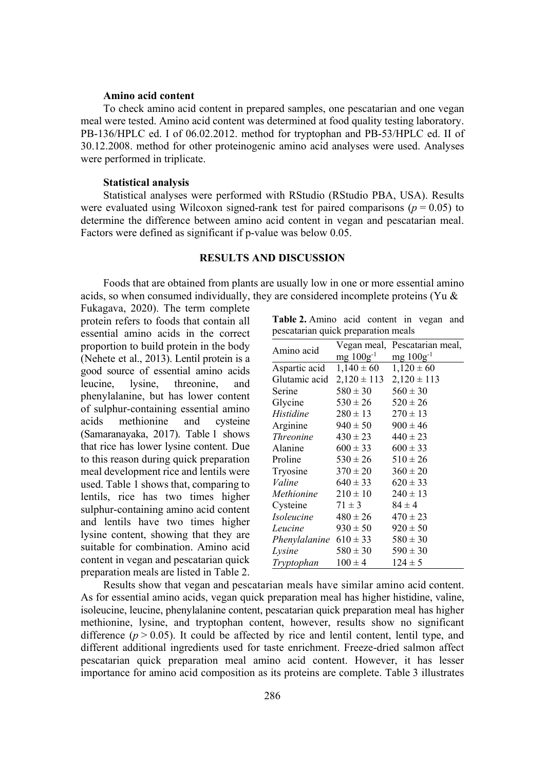#### **Amino acid content**

To check amino acid content in prepared samples, one pescatarian and one vegan meal were tested. Amino acid content was determined at food quality testing laboratory. PB-136/HPLC ed. I of 06.02.2012. method for tryptophan and PB-53/HPLC ed. II of 30.12.2008. method for other proteinogenic amino acid analyses were used. Analyses were performed in triplicate.

#### **Statistical analysis**

Statistical analyses were performed with RStudio (RStudio PBA, USA). Results were evaluated using Wilcoxon signed-rank test for paired comparisons ( $p = 0.05$ ) to determine the difference between amino acid content in vegan and pescatarian meal. Factors were defined as significant if p-value was below 0.05.

## **RESULTS AND DISCUSSION**

Foods that are obtained from plants are usually low in one or more essential amino acids, so when consumed individually, they are considered incomplete proteins (Yu &

Fukagava, 2020). The term complete protein refers to foods that contain all essential amino acids in the correct proportion to build protein in the body (Nehete et al., 2013). Lentil protein is a good source of essential amino acids leucine, lysine, threonine, and phenylalanine, but has lower content of sulphur-containing essential amino acids methionine and cysteine (Samaranayaka, 2017). Table 1 shows that rice has lower lysine content. Due to this reason during quick preparation meal development rice and lentils were used. Table 1 shows that, comparing to lentils, rice has two times higher sulphur-containing amino acid content and lentils have two times higher lysine content, showing that they are suitable for combination. Amino acid content in vegan and pescatarian quick preparation meals are listed in Table 2.

**Table 2.** Amino acid content in vegan and pescatarian quick preparation meals

| Amino acid                 | Vegan meal,                     | Pescatarian meal, |
|----------------------------|---------------------------------|-------------------|
|                            | $mg 100g^{-1}$                  | $mg 100g^{-1}$    |
| Aspartic acid              | $1,140 \pm 60$                  | $1,120 \pm 60$    |
| Glutamic acid              | $2,120 \pm 113$ $2,120 \pm 113$ |                   |
| Serine                     | $580 \pm 30$                    | $560 \pm 30$      |
| Glycine                    | $530 \pm 26$                    | $520 \pm 26$      |
| Histidine                  | $280 \pm 13$                    | $270 \pm 13$      |
| Arginine                   | $940 \pm 50$                    | $900 \pm 46$      |
| <i>Threonine</i>           | $430 \pm 23$                    | $440 \pm 23$      |
| Alanine                    | $600 \pm 33$                    | $600 \pm 33$      |
| Proline                    | $530 \pm 26$                    | $510 \pm 26$      |
| Tryosine                   | $370 \pm 20$                    | $360 \pm 20$      |
| Valine                     | $640 \pm 33$                    | $620 \pm 33$      |
| Methionine                 | $210 \pm 10$                    | $240 \pm 13$      |
| Cysteine                   | $71 \pm 3$                      | $84 \pm 4$        |
| Isoleucine                 | $480 \pm 26$                    | $470 \pm 23$      |
| Leucine                    | $930 \pm 50$                    | $920 \pm 50$      |
| Phenylalanine $610 \pm 33$ |                                 | $580 \pm 30$      |
| Lysine                     | $580 \pm 30$                    | $590 \pm 30$      |
| Tryptophan                 | $100 \pm 4$                     | $124 \pm 5$       |

Results show that vegan and pescatarian meals have similar amino acid content. As for essential amino acids, vegan quick preparation meal has higher histidine, valine, isoleucine, leucine, phenylalanine content, pescatarian quick preparation meal has higher methionine, lysine, and tryptophan content, however, results show no significant difference  $(p > 0.05)$ . It could be affected by rice and lentil content, lentil type, and different additional ingredients used for taste enrichment. Freeze-dried salmon affect pescatarian quick preparation meal amino acid content. However, it has lesser importance for amino acid composition as its proteins are complete. Table 3 illustrates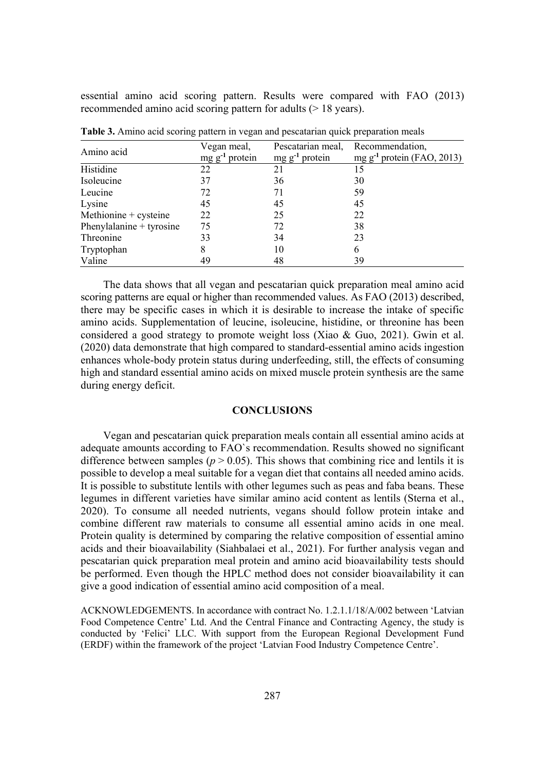essential amino acid scoring pattern. Results were compared with FAO (2013) recommended amino acid scoring pattern for adults (> 18 years).

| Amino acid               | Vegan meal,         | Pescatarian meal, Recommendation, |                                 |
|--------------------------|---------------------|-----------------------------------|---------------------------------|
|                          | $mg g^{-1}$ protein | $mg g^{-1}$ protein               | mg $g^{-1}$ protein (FAO, 2013) |
| Histidine                | 22                  | 21                                | 15                              |
| Isoleucine               | 37                  | 36                                | 30                              |
| Leucine                  | 72                  | 71                                | 59                              |
| Lysine                   | 45                  | 45                                | 45                              |
| Methionine + cysteine    | 22                  | 25                                | 22                              |
| Phenylalanine + tyrosine | 75                  | 72                                | 38                              |
| Threonine                | 33                  | 34                                | 23                              |
| Tryptophan               | 8                   | 10                                | 6                               |
| Valine                   | 49                  | 48                                | 39                              |

**Table 3.** Amino acid scoring pattern in vegan and pescatarian quick preparation meals

The data shows that all vegan and pescatarian quick preparation meal amino acid scoring patterns are equal or higher than recommended values. As FAO (2013) described, there may be specific cases in which it is desirable to increase the intake of specific amino acids. Supplementation of leucine, isoleucine, histidine, or threonine has been considered a good strategy to promote weight loss (Xiao & Guo, 2021). Gwin et al. (2020) data demonstrate that high compared to standard-essential amino acids ingestion enhances whole-body protein status during underfeeding, still, the effects of consuming high and standard essential amino acids on mixed muscle protein synthesis are the same during energy deficit.

#### **CONCLUSIONS**

Vegan and pescatarian quick preparation meals contain all essential amino acids at adequate amounts according to FAO`s recommendation. Results showed no significant difference between samples ( $p > 0.05$ ). This shows that combining rice and lentils it is possible to develop a meal suitable for a vegan diet that contains all needed amino acids. It is possible to substitute lentils with other legumes such as peas and faba beans. These legumes in different varieties have similar amino acid content as lentils (Sterna et al., 2020). To consume all needed nutrients, vegans should follow protein intake and combine different raw materials to consume all essential amino acids in one meal. Protein quality is determined by comparing the relative composition of essential amino acids and their bioavailability (Siahbalaei et al., 2021). For further analysis vegan and pescatarian quick preparation meal protein and amino acid bioavailability tests should be performed. Even though the HPLC method does not consider bioavailability it can give a good indication of essential amino acid composition of a meal.

ACKNOWLEDGEMENTS. In accordance with contract No. 1.2.1.1/18/A/002 between 'Latvian Food Competence Centre' Ltd. And the Central Finance and Contracting Agency, the study is conducted by 'Felici' LLC. With support from the European Regional Development Fund (ERDF) within the framework of the project 'Latvian Food Industry Competence Centre'.